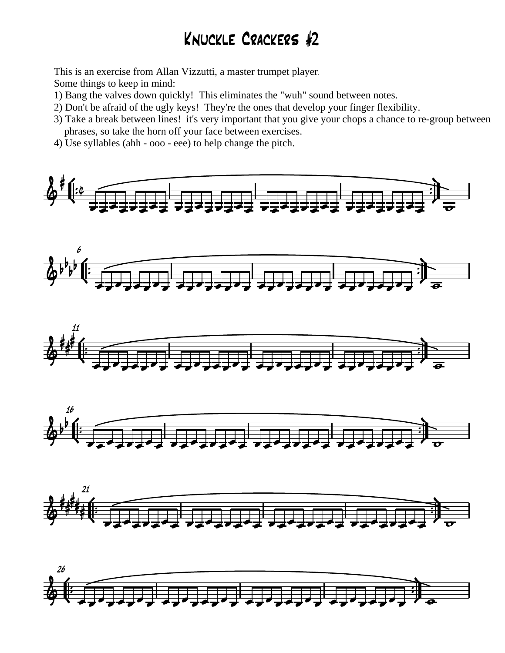## Knuckle Crackers #2

This is an exercise from Allan Vizzutti, a master trumpet player.

Some things to keep in mind:

- 1) Bang the valves down quickly! This eliminates the "wuh" sound between notes.
- 2) Don't be afraid of the ugly keys! They're the ones that develop your finger flexibility.
- 3) Take a break between lines! it's very important that you give your chops a chance to re-group between phrases, so take the horn off your face between exercises.
- 4) Use syllables (ahh ooo eee) to help change the pitch*.*